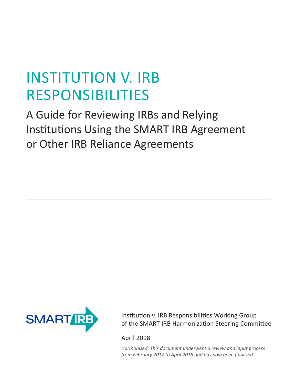# INSTITUTION V. IRB RESPONSIBILITIES

A Guide for Reviewing IRBs and Relying Institutions Using the SMART IRB Agreement or Other IRB Reliance Agreements



Institution v. IRB Responsibilities Working Group of the SMART IRB Harmonization Steering Committee

April 2018

*Harmonized: This document underwent a review and input process from February 2017 to April 2018 and has now been finalized.*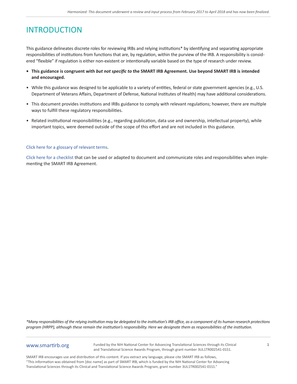# **INTRODUCTION**

This guidance delineates discrete roles for reviewing IRBs and relying institutions\* by identifying and separating appropriate responsibilities of institutions from functions that are, by regulation, within the purview of the IRB. A responsibility is considered "flexible" if regulation is either non-existent or intentionally variable based on the type of research under review.

- **• This guidance is congruent with** *but not specific to* **the SMART IRB Agreement. Use beyond SMART IRB is intended and encouraged.**
- While this guidance was designed to be applicable to a variety of entities, federal or state government agencies (e.g., U.S. Department of Veterans Affairs, Department of Defense, National Institutes of Health) may have additional considerations.
- This document provides institutions and IRBs guidance to comply with relevant regulations; however, there are multiple ways to fulfill these regulatory responsibilities.
- Related institutional responsibilities (e.g., regarding publication, data use and ownership, intellectual property), while important topics, were deemed outside of the scope of this effort and are not included in this guidance.

#### [Click here for a glossary of relevant terms](https://smartirb.org/glossary/).

[Click here for a checklist](https://smartirb.org/sites/default/files/SMART_IRB_Agreement_Implementation_Checklist_FORM.pdf) that can be used or adapted to document and communicate roles and responsibilities when implementing the SMART IRB Agreement.

*\*Many responsibilities of the relying institution may be delegated to the institution's IRB office, as a component of its human research protections program (HRPP), although these remain the institution's responsibility. Here we designate them as responsibilities of the institution.*

### www.smartirb.org

Funded by the NIH National Center for Advancing Translational Sciences through its Clinical and Translational Science Awards Program, through grant number 3UL1TR002541-01S1.

1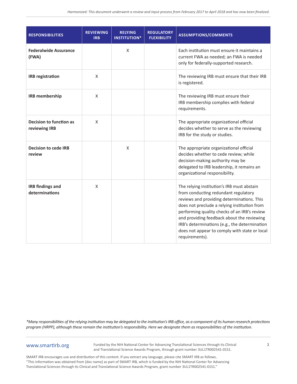| <b>RESPONSIBILITIES</b>                   | <b>REVIEWING</b><br><b>IRB</b> | <b>RELYING</b><br><b>INSTITUTION*</b> | <b>REGULATORY</b><br><b>FLEXIBILITY</b> | <b>ASSUMPTIONS/COMMENTS</b>                                                                                                                                                                                                                                                                                                                                                                        |
|-------------------------------------------|--------------------------------|---------------------------------------|-----------------------------------------|----------------------------------------------------------------------------------------------------------------------------------------------------------------------------------------------------------------------------------------------------------------------------------------------------------------------------------------------------------------------------------------------------|
| <b>Federalwide Assurance</b><br>(FWA)     |                                | X                                     |                                         | Each institution must ensure it maintains a<br>current FWA as needed; an FWA is needed<br>only for federally-supported research.                                                                                                                                                                                                                                                                   |
| <b>IRB</b> registration                   | X                              |                                       |                                         | The reviewing IRB must ensure that their IRB<br>is registered.                                                                                                                                                                                                                                                                                                                                     |
| <b>IRB</b> membership                     | X                              |                                       |                                         | The reviewing IRB must ensure their<br>IRB membership complies with federal<br>requirements.                                                                                                                                                                                                                                                                                                       |
| Decision to function as<br>reviewing IRB  | X                              |                                       |                                         | The appropriate organizational official<br>decides whether to serve as the reviewing<br>IRB for the study or studies.                                                                                                                                                                                                                                                                              |
| <b>Decision to cede IRB</b><br>review     |                                | X                                     |                                         | The appropriate organizational official<br>decides whether to cede review; while<br>decision-making authority may be<br>delegated to IRB leadership, it remains an<br>organizational responsibility.                                                                                                                                                                                               |
| <b>IRB</b> findings and<br>determinations | $\mathsf{X}$                   |                                       |                                         | The relying institution's IRB must abstain<br>from conducting redundant regulatory<br>reviews and providing determinations. This<br>does not preclude a relying institution from<br>performing quality checks of an IRB's review<br>and providing feedback about the reviewing<br>IRB's determinations (e.g., the determination<br>does not appear to comply with state or local<br>requirements). |

## www.smartirb.org

Funded by the NIH National Center for Advancing Translational Sciences through its Clinical and Translational Science Awards Program, through grant number 3UL1TR002541-01S1.

2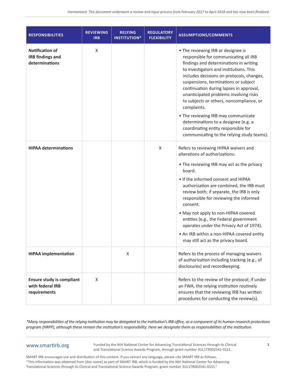| <b>RESPONSIBILITIES</b>                                              | <b>REVIEWING</b><br><b>IRB</b> | <b>RELYING</b><br><b>INSTITUTION*</b> | <b>REGULATORY</b><br><b>FLEXIBILITY</b> | <b>ASSUMPTIONS/COMMENTS</b>                                                                                                                                                                                                                                                                                                                                                                                                                                                                                                                                               |
|----------------------------------------------------------------------|--------------------------------|---------------------------------------|-----------------------------------------|---------------------------------------------------------------------------------------------------------------------------------------------------------------------------------------------------------------------------------------------------------------------------------------------------------------------------------------------------------------------------------------------------------------------------------------------------------------------------------------------------------------------------------------------------------------------------|
| <b>Notification of</b><br><b>IRB</b> findings and<br>determinations  | X                              |                                       |                                         | • The reviewing IRB or designee is<br>responsible for communicating all IRB<br>findings and determinations in writing<br>to investigators and institutions. This<br>includes decisions on protocols, changes,<br>suspensions, terminations or subject<br>continuation during lapses in approval,<br>unanticipated problems involving risks<br>to subjects or others, noncompliance, or<br>complaints.<br>• The reviewing IRB may communicate<br>determinations to a designee (e.g. a<br>coordinating entity responsible for<br>communicating to the relying study teams). |
| <b>HIPAA determinations</b>                                          |                                |                                       | X                                       | Refers to reviewing HIPAA waivers and<br>alterations of authorizations:<br>• The reviewing IRB may act as the privacy<br>board.<br>• If the informed consent and HIPAA<br>authorization are combined, the IRB must<br>review both; if separate, the IRB is only<br>responsible for reviewing the informed<br>consent.<br>• May not apply to non-HIPAA covered<br>entities (e.g., the Federal government<br>operates under the Privacy Act of 1974).<br>• An IRB within a non-HIPAA covered entity<br>may still act as the privacy board.                                  |
| <b>HIPAA</b> implementation                                          |                                | X                                     |                                         | Refers to the process of managing waivers<br>of authorization including tracking (e.g., of<br>disclosures) and recordkeeping.                                                                                                                                                                                                                                                                                                                                                                                                                                             |
| <b>Ensure study is compliant</b><br>with federal IRB<br>requirements | X                              |                                       |                                         | Refers to the review of the protocol; if under<br>an FWA, the relying institution routinely<br>ensures that the reviewing IRB has written<br>procedures for conducting the review(s).                                                                                                                                                                                                                                                                                                                                                                                     |

## www.smartirb.org

Funded by the NIH National Center for Advancing Translational Sciences through its Clinical and Translational Science Awards Program, through grant number 3UL1TR002541-01S1.

3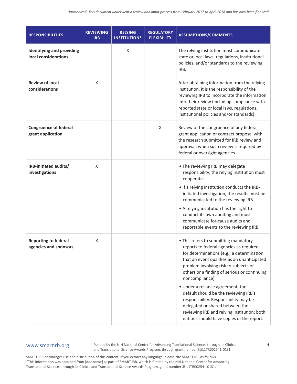| <b>RESPONSIBILITIES</b>                                  | <b>REVIEWING</b><br><b>IRB</b> | <b>RELYING</b><br><b>INSTITUTION*</b> | <b>REGULATORY</b><br><b>FLEXIBILITY</b> | <b>ASSUMPTIONS/COMMENTS</b>                                                                                                                                                                                                                                                                                                                                                                                                                                                                                                                     |
|----------------------------------------------------------|--------------------------------|---------------------------------------|-----------------------------------------|-------------------------------------------------------------------------------------------------------------------------------------------------------------------------------------------------------------------------------------------------------------------------------------------------------------------------------------------------------------------------------------------------------------------------------------------------------------------------------------------------------------------------------------------------|
| <b>Identifying and providing</b><br>local considerations |                                | $\mathsf X$                           |                                         | The relying institution must communicate<br>state or local laws, regulations, institutional<br>policies, and/or standards to the reviewing<br>IRB.                                                                                                                                                                                                                                                                                                                                                                                              |
| <b>Review of local</b><br>considerations                 | X                              |                                       |                                         | After obtaining information from the relying<br>institution, it is the responsibility of the<br>reviewing IRB to incorporate the information<br>into their review (including compliance with<br>reported state or local laws, regulations,<br>institutional policies and/or standards).                                                                                                                                                                                                                                                         |
| <b>Congruence of federal</b><br>grant application        |                                |                                       | X                                       | Review of the congruence of any federal<br>grant application or contract proposal with<br>the research submitted for IRB review and<br>approval, when such review is required by<br>federal or oversight agencies.                                                                                                                                                                                                                                                                                                                              |
| IRB-initiated audits/<br>investigations                  | X                              |                                       |                                         | • The reviewing IRB may delegate<br>responsibility; the relying institution must<br>cooperate.<br>• If a relying institution conducts the IRB-<br>initiated investigation, the results must be<br>communicated to the reviewing IRB.<br>• A relying institution has the right to<br>conduct its own auditing and must<br>communicate for-cause audits and<br>reportable events to the reviewing IRB.                                                                                                                                            |
| Reporting to federal<br>agencies and sponsors            | X                              |                                       |                                         | • This refers to submitting mandatory<br>reports to federal agencies as required<br>for determinations (e.g., a determination<br>that an event qualifies as an unanticipated<br>problem involving risk to subjects or<br>others or a finding of serious or continuing<br>noncompliance).<br>• Under a reliance agreement, the<br>default should be the reviewing IRB's<br>responsibility. Responsibility may be<br>delegated or shared between the<br>reviewing IRB and relying institution; both<br>entities should have copies of the report. |

# www.smartirb.org

Funded by the NIH National Center for Advancing Translational Sciences through its Clinical and Translational Science Awards Program, through grant number 3UL1TR002541-01S1.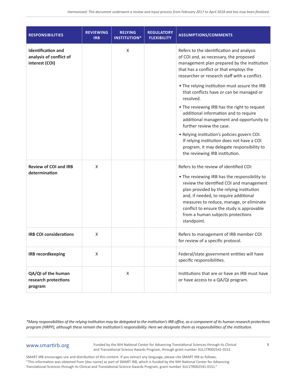| <b>RESPONSIBILITIES</b>                                                | <b>REVIEWING</b><br><b>IRB</b> | <b>RELYING</b><br><b>INSTITUTION*</b> | <b>REGULATORY</b><br><b>FLEXIBILITY</b> | <b>ASSUMPTIONS/COMMENTS</b>                                                                                                                                                                                                                                                                                                                                             |
|------------------------------------------------------------------------|--------------------------------|---------------------------------------|-----------------------------------------|-------------------------------------------------------------------------------------------------------------------------------------------------------------------------------------------------------------------------------------------------------------------------------------------------------------------------------------------------------------------------|
| <b>Identification and</b><br>analysis of conflict of<br>interest (COI) |                                | X                                     |                                         | Refers to the identification and analysis<br>of COI and, as necessary, the proposed<br>management plan prepared by the institution<br>that has a conflict or that employs the<br>researcher or research staff with a conflict.                                                                                                                                          |
|                                                                        |                                |                                       |                                         | . The relying institution must assure the IRB<br>that conflicts have or can be managed or<br>resolved.                                                                                                                                                                                                                                                                  |
|                                                                        |                                |                                       |                                         | . The reviewing IRB has the right to request<br>additional information and to require<br>additional management and opportunity to<br>further review the case.                                                                                                                                                                                                           |
|                                                                        |                                |                                       |                                         | . Relying institution's policies govern COI.<br>If relying institution does not have a COI<br>program, it may delegate responsibility to<br>the reviewing IRB institution.                                                                                                                                                                                              |
| <b>Review of COI and IRB</b><br>determination                          | X                              |                                       |                                         | Refers to the review of identified COI:<br>. The reviewing IRB has the responsibility to<br>review the identified COI and management<br>plan provided by the relying institution<br>and, if needed, to require additional<br>measures to reduce, manage, or eliminate<br>conflict to ensure the study is approvable<br>from a human subjects protections<br>standpoint. |
| <b>IRB COI considerations</b>                                          | X                              |                                       |                                         | Refers to management of IRB member COI<br>for review of a specific protocol.                                                                                                                                                                                                                                                                                            |
| <b>IRB recordkeeping</b>                                               | X                              |                                       |                                         | Federal/state government entities will have<br>specific responsibilities.                                                                                                                                                                                                                                                                                               |
| QA/QI of the human<br>research protections<br>program                  |                                | X                                     |                                         | Institutions that are or have an IRB must have<br>or have access to a QA/QI program.                                                                                                                                                                                                                                                                                    |

# www.smartirb.org

Funded by the NIH National Center for Advancing Translational Sciences through its Clinical and Translational Science Awards Program, through grant number 3UL1TR002541-01S1.

5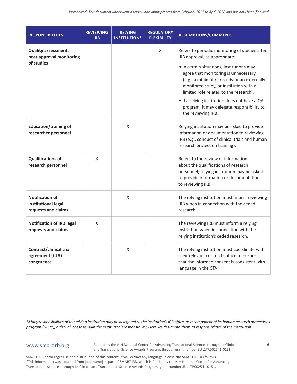| <b>RESPONSIBILITIES</b>                                              | <b>REVIEWING</b><br><b>IRB</b> | <b>RELYING</b><br><b>INSTITUTION*</b> | <b>REGULATORY</b><br><b>FLEXIBILITY</b> | <b>ASSUMPTIONS/COMMENTS</b>                                                                                                                                                                                                                                                                                           |
|----------------------------------------------------------------------|--------------------------------|---------------------------------------|-----------------------------------------|-----------------------------------------------------------------------------------------------------------------------------------------------------------------------------------------------------------------------------------------------------------------------------------------------------------------------|
| <b>Quality assessment:</b><br>post-approval monitoring               |                                |                                       | X                                       | Refers to periodic monitoring of studies after<br>IRB approval, as appropriate:                                                                                                                                                                                                                                       |
| of studies                                                           |                                |                                       |                                         | • In certain situations, institutions may<br>agree that monitoring is unnecessary<br>(e.g., a minimal-risk study or an externally-<br>monitored study, or institution with a<br>limited role related to the research).<br>• If a relying institution does not have a QA<br>program, it may delegate responsibility to |
|                                                                      |                                |                                       |                                         | the reviewing IRB.                                                                                                                                                                                                                                                                                                    |
| <b>Education/training of</b><br>researcher personnel                 |                                | X                                     |                                         | Relying institution may be asked to provide<br>information or documentation to reviewing<br>IRB (e.g., conduct of clinical trials and human<br>research protection training).                                                                                                                                         |
| <b>Qualifications of</b><br>research personnel                       | X                              |                                       |                                         | Refers to the review of information<br>about the qualifications of research<br>personnel; relying institution may be asked<br>to provide information or documentation<br>to reviewing IRB.                                                                                                                            |
| <b>Notification of</b><br>institutional legal<br>requests and claims |                                | X                                     |                                         | The relying institution must inform reviewing<br>IRB when in connection with the ceded<br>research.                                                                                                                                                                                                                   |
| <b>Notification of IRB legal</b><br>requests and claims              | X                              |                                       |                                         | The reviewing IRB must inform a relying<br>institution when in connection with the<br>relying institution's ceded research.                                                                                                                                                                                           |
| Contract/clinical trial<br>agreement (CTA)<br>congruence             |                                | X                                     |                                         | The relying institution must coordinate with<br>their relevant contracts office to ensure<br>that the informed consent is consistent with<br>language in the CTA.                                                                                                                                                     |

## www.smartirb.org

Funded by the NIH National Center for Advancing Translational Sciences through its Clinical and Translational Science Awards Program, through grant number 3UL1TR002541-01S1.

6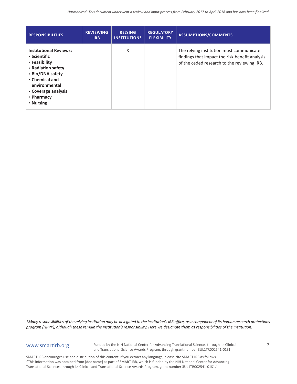| <b>RESPONSIBILITIES</b>                                                                                                                                                                       | <b>REVIEWING</b><br>IR <sub>B</sub> | <b>RELYING</b><br><b>INSTITUTION*</b> | <b>REGULATORY</b><br><b>FLEXIBILITY</b> | <b>ASSUMPTIONS/COMMENTS</b>                                                                                                               |
|-----------------------------------------------------------------------------------------------------------------------------------------------------------------------------------------------|-------------------------------------|---------------------------------------|-----------------------------------------|-------------------------------------------------------------------------------------------------------------------------------------------|
| <b>Institutional Reviews:</b><br>• Scientific<br>• Feasibility<br>• Radiation safety<br>• Bio/DNA safety<br>• Chemical and<br>environmental<br>• Coverage analysis<br>• Pharmacy<br>• Nursing |                                     | X                                     |                                         | The relying institution must communicate<br>findings that impact the risk-benefit analysis<br>of the ceded research to the reviewing IRB. |

# www.smartirb.org

Funded by the NIH National Center for Advancing Translational Sciences through its Clinical and Translational Science Awards Program, through grant number 3UL1TR002541-01S1.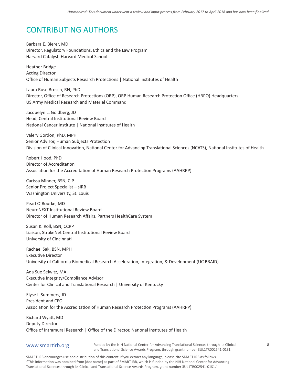# CONTRIBUTING AUTHORS

Barbara E. Bierer, MD Director, Regulatory Foundations, Ethics and the Law Program Harvard Catalyst, Harvard Medical School

Heather Bridge Acting Director Office of Human Subjects Research Protections | National Institutes of Health

Laura Ruse Brosch, RN, PhD Director, Office of Research Protections (ORP), ORP Human Research Protection Office (HRPO) Headquarters US Army Medical Research and Materiel Command

Jacquelyn L. Goldberg, JD Head, Central Institutional Review Board National Cancer Institute | National Institutes of Health

Valery Gordon, PhD, MPH Senior Advisor, Human Subjects Protection Division of Clinical Innovation, National Center for Advancing Translational Sciences (NCATS), National Institutes of Health

Robert Hood, PhD Director of Accreditation Association for the Accreditation of Human Research Protection Programs (AAHRPP)

Carissa Minder, BSN, CIP Senior Project Specialist – sIRB Washington University, St. Louis

Pearl O'Rourke, MD NeuroNEXT Institutional Review Board Director of Human Research Affairs, Partners HealthCare System

Susan K. Roll, BSN, CCRP Liaison, StrokeNet Central Institutional Review Board University of Cincinnati

Rachael Sak, BSN, MPH Executive Director University of California Biomedical Research Acceleration, Integration, & Development (UC BRAID)

Ada Sue Selwitz, MA Executive Integrity/Compliance Advisor Center for Clinical and Translational Research | University of Kentucky

Elyse I. Summers, JD President and CEO Association for the Accreditation of Human Research Protection Programs (AAHRPP)

Richard Wyatt, MD Deputy Director Office of Intramural Research | Office of the Director, National Institutes of Health

### www.smartirb.org

Funded by the NIH National Center for Advancing Translational Sciences through its Clinical and Translational Science Awards Program, through grant number 3UL1TR002541-01S1.